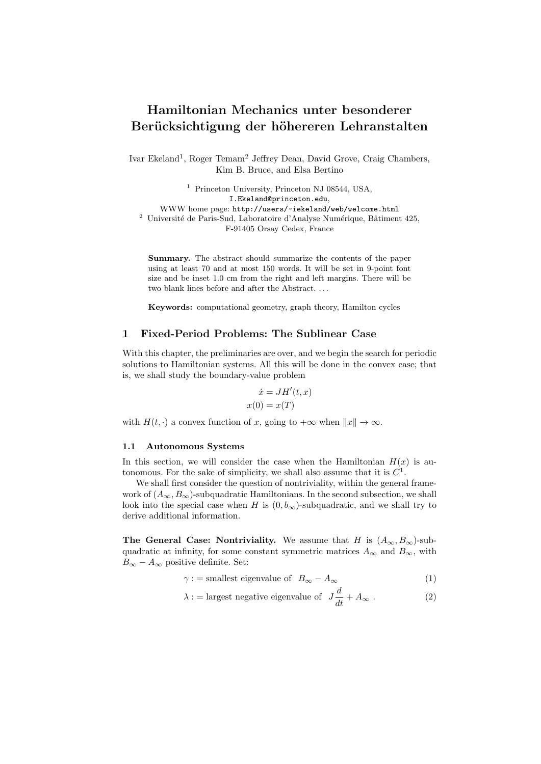# Hamiltonian Mechanics unter besonderer Berücksichtigung der höhereren Lehranstalten

Ivar Ekeland<sup>1</sup>, Roger Temam<sup>2</sup> Jeffrey Dean, David Grove, Craig Chambers, Kim B. Bruce, and Elsa Bertino

<sup>1</sup> Princeton University, Princeton NJ 08544, USA, I.Ekeland@princeton.edu, WWW home page: http://users/~iekeland/web/welcome.html  $^2\,$ Université de Paris-Sud, Laboratoire d'Analyse Numérique, Bâtiment 425, F-91405 Orsay Cedex, France

Summary. The abstract should summarize the contents of the paper using at least 70 and at most 150 words. It will be set in 9-point font size and be inset 1.0 cm from the right and left margins. There will be two blank lines before and after the Abstract. . . .

Keywords: computational geometry, graph theory, Hamilton cycles

## 1 Fixed-Period Problems: The Sublinear Case

With this chapter, the preliminaries are over, and we begin the search for periodic solutions to Hamiltonian systems. All this will be done in the convex case; that is, we shall study the boundary-value problem

$$
\dot{x} = JH'(t, x)
$$

$$
x(0) = x(T)
$$

with  $H(t, \cdot)$  a convex function of x, going to  $+\infty$  when  $||x|| \to \infty$ .

#### 1.1 Autonomous Systems

In this section, we will consider the case when the Hamiltonian  $H(x)$  is autonomous. For the sake of simplicity, we shall also assume that it is  $C^1$ .

We shall first consider the question of nontriviality, within the general framework of  $(A_{\infty}, B_{\infty})$ -subquadratic Hamiltonians. In the second subsection, we shall look into the special case when H is  $(0, b_{\infty})$ -subquadratic, and we shall try to derive additional information.

The General Case: Nontriviality. We assume that H is  $(A_{\infty}, B_{\infty})$ -subquadratic at infinity, for some constant symmetric matrices  $A_{\infty}$  and  $B_{\infty}$ , with  $B_{\infty} - A_{\infty}$  positive definite. Set:

$$
\gamma := \text{smallest eigenvalue of} \quad B_{\infty} - A_{\infty} \tag{1}
$$

$$
\lambda := \text{largest negative eigenvalue of} \quad J\frac{d}{dt} + A_{\infty} \ . \tag{2}
$$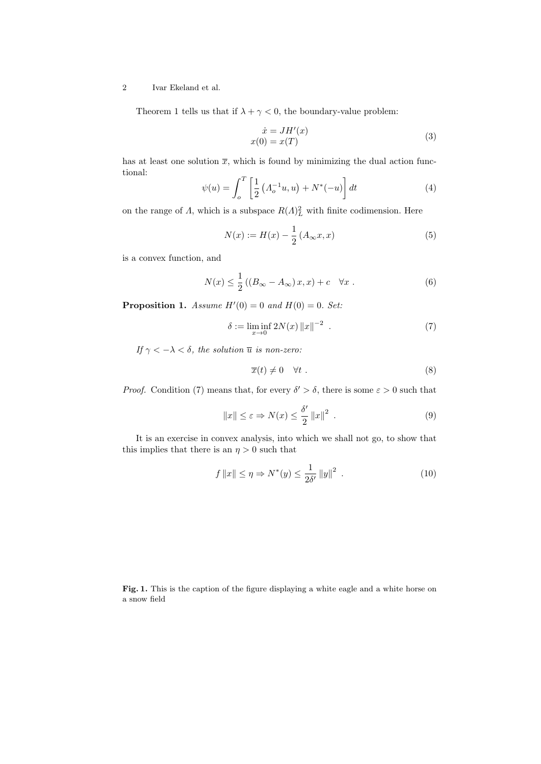## 2 Ivar Ekeland et al.

Theorem 1 tells us that if  $\lambda + \gamma < 0$ , the boundary-value problem:

$$
\begin{aligned}\n\dot{x} &= JH'(x) \\
x(0) &= x(T)\n\end{aligned} \tag{3}
$$

has at least one solution  $\bar{x}$ , which is found by minimizing the dual action functional:

$$
\psi(u) = \int_{o}^{T} \left[ \frac{1}{2} \left( A_{o}^{-1} u, u \right) + N^{*}(-u) \right] dt \tag{4}
$$

on the range of  $\Lambda$ , which is a subspace  $R(\Lambda)_L^2$  with finite codimension. Here

$$
N(x) := H(x) - \frac{1}{2} (A_{\infty} x, x)
$$
 (5)

is a convex function, and

$$
N(x) \le \frac{1}{2} \left( \left( B_{\infty} - A_{\infty} \right) x, x \right) + c \quad \forall x \ . \tag{6}
$$

**Proposition 1.** Assume  $H'(0) = 0$  and  $H(0) = 0$ . Set:

$$
\delta := \liminf_{x \to 0} 2N(x) ||x||^{-2} . \tag{7}
$$

If  $\gamma < -\lambda < \delta$ , the solution  $\overline{u}$  is non-zero:

$$
\overline{x}(t) \neq 0 \quad \forall t \tag{8}
$$

*Proof.* Condition (7) means that, for every  $\delta' > \delta$ , there is some  $\varepsilon > 0$  such that

$$
||x|| \le \varepsilon \Rightarrow N(x) \le \frac{\delta'}{2} ||x||^2 \tag{9}
$$

It is an exercise in convex analysis, into which we shall not go, to show that this implies that there is an  $\eta > 0$  such that

$$
f ||x|| \le \eta \Rightarrow N^*(y) \le \frac{1}{2\delta'} ||y||^2
$$
 (10)

Fig. 1. This is the caption of the figure displaying a white eagle and a white horse on a snow field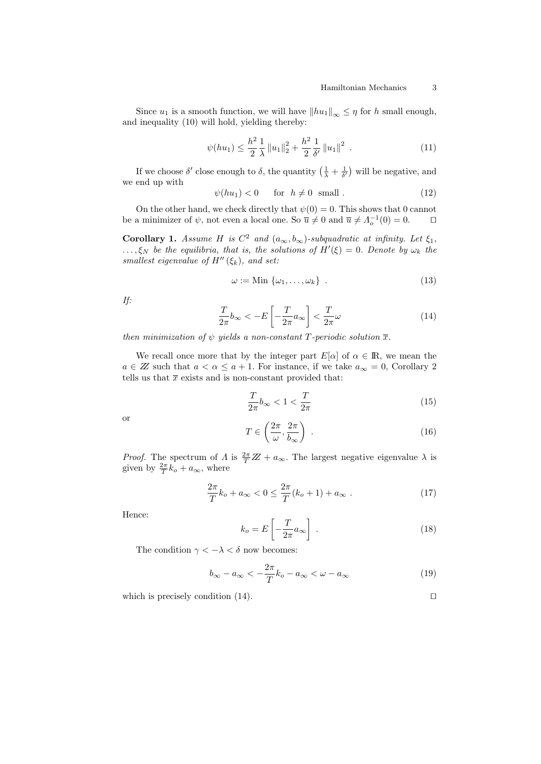Since  $u_1$  is a smooth function, we will have  $||hu_1||_{\infty} \leq \eta$  for h small enough, and inequality (10) will hold, yielding thereby:

$$
\psi(hu_1) \le \frac{h^2}{2} \frac{1}{\lambda} \|u_1\|_2^2 + \frac{h^2}{2} \frac{1}{\delta'} \|u_1\|^2 \tag{11}
$$

If we choose  $\delta'$  close enough to  $\delta$ , the quantity  $\left(\frac{1}{\lambda} + \frac{1}{\delta'}\right)$  will be negative, and we end up with

$$
\psi(hu_1) < 0 \quad \text{for} \quad h \neq 0 \quad \text{small} \tag{12}
$$

On the other hand, we check directly that  $\psi(0) = 0$ . This shows that 0 cannot be a minimizer of  $\psi$ , not even a local one. So  $\overline{u} \neq 0$  and  $\overline{u} \neq \Lambda_o^{-1}(0) = 0$ .

**Corollary 1.** Assume H is  $C^2$  and  $(a_{\infty}, b_{\infty})$ -subquadratic at infinity. Let  $\xi_1$ ,  $\ldots, \xi_N$  be the equilibria, that is, the solutions of  $H'(\xi) = 0$ . Denote by  $\omega_k$  the smallest eigenvalue of  $H''(\xi_k)$ , and set:

$$
\omega := \text{Min} \{ \omega_1, \dots, \omega_k \} \tag{13}
$$

If:

$$
\frac{T}{2\pi}b_{\infty} < -E\left[-\frac{T}{2\pi}a_{\infty}\right] < \frac{T}{2\pi}\omega\tag{14}
$$

then minimization of  $\psi$  yields a non-constant T-periodic solution  $\bar{x}$ .

We recall once more that by the integer part  $E[\alpha]$  of  $\alpha \in \mathbb{R}$ , we mean the  $a \in \mathbb{Z}$  such that  $a < \alpha \le a + 1$ . For instance, if we take  $a_{\infty} = 0$ , Corollary 2 tells us that  $\bar{x}$  exists and is non-constant provided that:

$$
\frac{T}{2\pi}b_{\infty} < 1 < \frac{T}{2\pi} \tag{15}
$$

or

$$
T \in \left(\frac{2\pi}{\omega}, \frac{2\pi}{b_{\infty}}\right) \tag{16}
$$

*Proof.* The spectrum of  $\Lambda$  is  $\frac{2\pi}{T}\mathbb{Z} + a_{\infty}$ . The largest negative eigenvalue  $\lambda$  is given by  $\frac{2\pi}{T}k_o + a_{\infty}$ , where

$$
\frac{2\pi}{T}k_o + a_{\infty} < 0 \le \frac{2\pi}{T}(k_o + 1) + a_{\infty} \tag{17}
$$

Hence:

$$
k_o = E\left[-\frac{T}{2\pi}a_\infty\right] \tag{18}
$$

The condition  $\gamma < -\lambda < \delta$  now becomes:

$$
b_{\infty} - a_{\infty} < -\frac{2\pi}{T}k_o - a_{\infty} < \omega - a_{\infty}
$$
\n(19)

which is precisely condition  $(14)$ .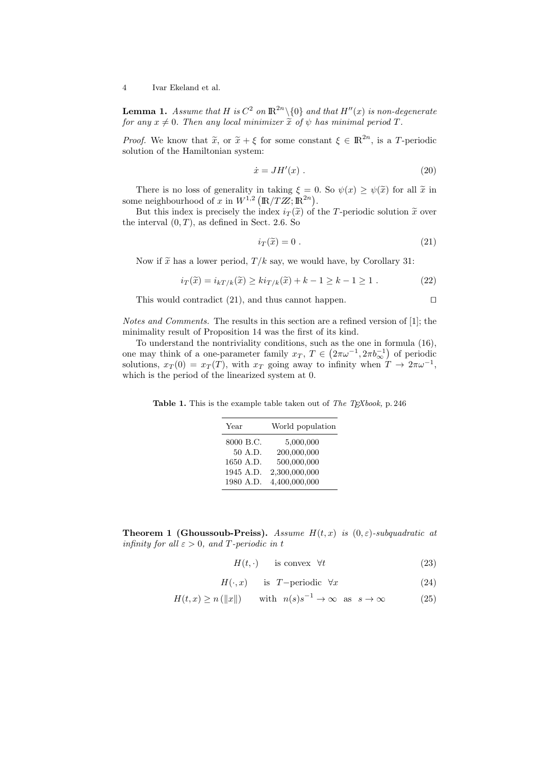4 Ivar Ekeland et al.

**Lemma 1.** Assume that H is  $C^2$  on  $\mathbb{R}^{2n}\setminus\{0\}$  and that  $H''(x)$  is non-degenerate for any  $x \neq 0$ . Then any local minimizer  $\tilde{x}$  of  $\psi$  has minimal period T.

*Proof.* We know that  $\tilde{x}$ , or  $\tilde{x} + \xi$  for some constant  $\xi \in \mathbb{R}^{2n}$ , is a T-periodic solution of the Hamiltonian system: solution of the Hamiltonian system:

$$
\dot{x} = JH'(x) \tag{20}
$$

There is no loss of generality in taking  $\xi = 0$ . So  $\psi(x) \geq \psi(\tilde{x})$  for all  $\tilde{x}$  in some neighbourhood of x in  $W^{1,2}(\mathbb{R}/TZ;\mathbb{R}^{2n})$ .

But this index is precisely the index  $i_T(\tilde{x})$  of the T-periodic solution  $\tilde{x}$  over the interval  $(0, T)$ , as defined in Sect. 2.6. So

$$
i_T(\tilde{x}) = 0.
$$
 (21)

Now if  $\tilde{x}$  has a lower period,  $T/k$  say, we would have, by Corollary 31:

$$
i_T(\widetilde{x}) = i_{k}i_{k}(\widetilde{x}) \geq k i_{T/k}(\widetilde{x}) + k - 1 \geq k - 1 \geq 1.
$$
 (22)

This would contradict  $(21)$ , and thus cannot happen.  $\Box$ 

Notes and Comments. The results in this section are a refined version of [1]; the minimality result of Proposition 14 was the first of its kind.

To understand the nontriviality conditions, such as the one in formula (16), one may think of a one-parameter family  $x_T$ ,  $T \in (2\pi\omega^{-1}, 2\pi b_{\infty}^{-1})$  of periodic solutions,  $x_T(0) = x_T(T)$ , with  $x_T$  going away to infinity when  $T \to 2\pi\omega^{-1}$ , which is the period of the linearized system at 0.

Table 1. This is the example table taken out of The TEXbook, p. 246

| Year      | World population |
|-----------|------------------|
| 8000 B.C. | 5,000,000        |
| 50 A.D.   | 200,000,000      |
| 1650 A.D. | 500,000,000      |
| 1945 A.D. | 2,300,000,000    |
| 1980 A.D. | 4,400,000,000    |

**Theorem 1 (Ghoussoub-Preiss).** Assume  $H(t, x)$  is  $(0, \varepsilon)$ -subquadratic at infinity for all  $\varepsilon > 0$ , and T-periodic in t

$$
H(t, \cdot) \qquad \text{is convex} \quad \forall t \tag{23}
$$

- $H(\cdot, x)$  is T−periodic  $\forall x$  (24)
- $H(t, x) \ge n(\Vert x \Vert)$  with  $n(s)s^{-1} \to \infty$  as  $s \to \infty$  (25)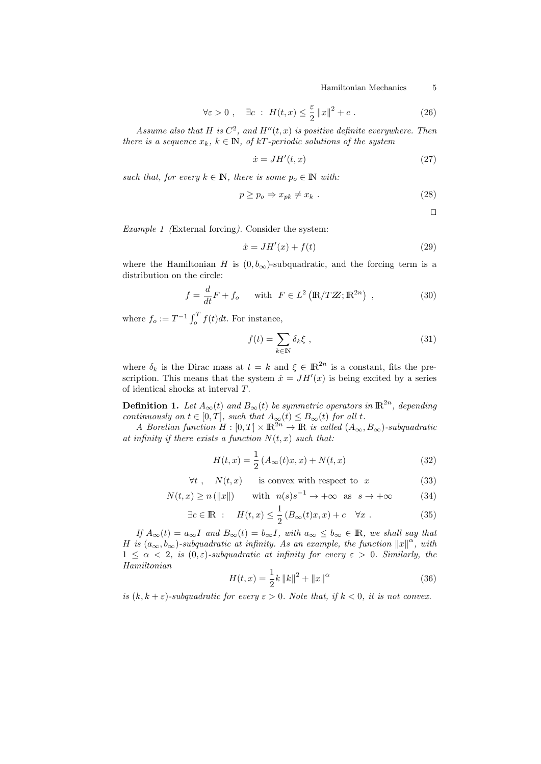Hamiltonian Mechanics 5

$$
\forall \varepsilon > 0 \;, \quad \exists c \; : \; H(t, x) \leq \frac{\varepsilon}{2} \|x\|^2 + c \; . \tag{26}
$$

Assume also that H is  $C^2$ , and  $H''(t, x)$  is positive definite everywhere. Then there is a sequence  $x_k, k \in \mathbb{N}$ , of kT-periodic solutions of the system

$$
\dot{x} = JH'(t, x) \tag{27}
$$

such that, for every  $k \in \mathbb{N}$ , there is some  $p_o \in \mathbb{N}$  with:

$$
p \ge p_o \Rightarrow x_{pk} \ne x_k . \tag{28}
$$

 $\Box$ 

Example 1 (External forcing). Consider the system:

$$
\dot{x} = JH'(x) + f(t) \tag{29}
$$

where the Hamiltonian H is  $(0, b_{\infty})$ -subquadratic, and the forcing term is a distribution on the circle:

$$
f = \frac{d}{dt}F + f_o \quad \text{with} \quad F \in L^2\left(\mathbb{R}/T\mathbb{Z}; \mathbb{R}^{2n}\right) \,, \tag{30}
$$

where  $f_o := T^{-1} \int_o^T f(t) dt$ . For instance,

$$
f(t) = \sum_{k \in \mathbb{N}} \delta_k \xi \tag{31}
$$

where  $\delta_k$  is the Dirac mass at  $t = k$  and  $\xi \in \mathbb{R}^{2n}$  is a constant, fits the prescription. This means that the system  $\dot{x} = JH'(x)$  is being excited by a series of identical shocks at interval T.

**Definition 1.** Let  $A_{\infty}(t)$  and  $B_{\infty}(t)$  be symmetric operators in  $\mathbb{R}^{2n}$ , depending continuously on  $t \in [0, T]$ , such that  $A_{\infty}(t) \leq B_{\infty}(t)$  for all t.

A Borelian function  $H : [0, T] \times \mathbb{R}^{2n} \to \mathbb{R}$  is called  $(A_{\infty}, B_{\infty})$ -subquadratic at infinity if there exists a function  $N(t, x)$  such that:

$$
H(t,x) = \frac{1}{2} (A_{\infty}(t)x, x) + N(t, x)
$$
\n(32)

 $\forall t$ ,  $N(t, x)$  is convex with respect to x (33)

$$
N(t, x) \ge n(||x||) \quad \text{with} \quad n(s)s^{-1} \to +\infty \quad \text{as} \quad s \to +\infty \tag{34}
$$

$$
\exists c \in \mathbb{R} : H(t, x) \le \frac{1}{2} \left( B_{\infty}(t)x, x \right) + c \quad \forall x . \tag{35}
$$

If  $A_{\infty}(t) = a_{\infty}I$  and  $B_{\infty}(t) = b_{\infty}I$ , with  $a_{\infty} \leq b_{\infty} \in \mathbb{R}$ , we shall say that H is  $(a_{\infty}, b_{\infty})$ -subquadratic at infinity. As an example, the function  $||x||^{\alpha}$ , with  $1 \leq \alpha < 2$ , is  $(0, \varepsilon)$ -subquadratic at infinity for every  $\varepsilon > 0$ . Similarly, the Hamiltonian

$$
H(t,x) = \frac{1}{2}k ||k||^2 + ||x||^{\alpha}
$$
\n(36)

is  $(k, k + \varepsilon)$ -subquadratic for every  $\varepsilon > 0$ . Note that, if  $k < 0$ , it is not convex.